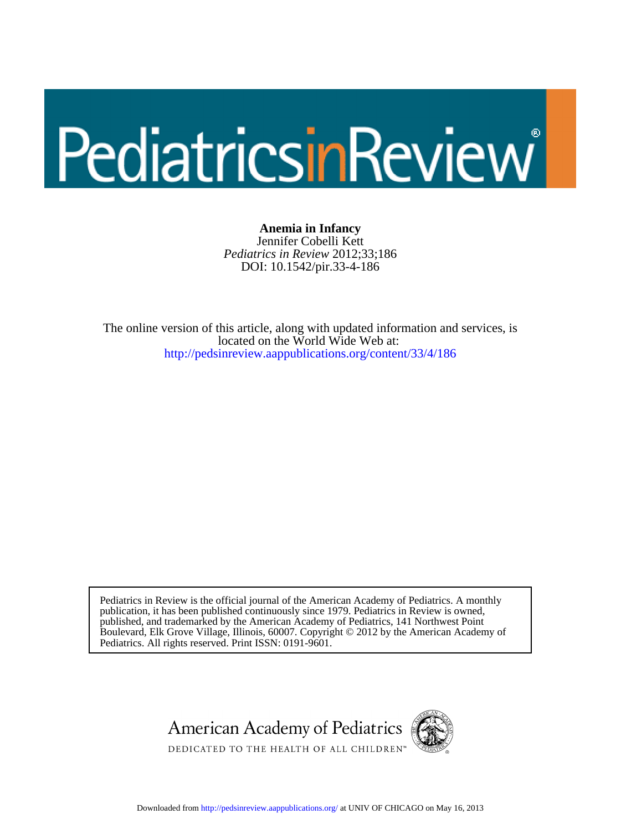# PediatricsinReview

DOI: 10.1542/pir.33-4-186 *Pediatrics in Review* 2012;33;186 Jennifer Cobelli Kett **Anemia in Infancy**

<http://pedsinreview.aappublications.org/content/33/4/186> located on the World Wide Web at: The online version of this article, along with updated information and services, is

Pediatrics. All rights reserved. Print ISSN: 0191-9601. Boulevard, Elk Grove Village, Illinois, 60007. Copyright © 2012 by the American Academy of published, and trademarked by the American Academy of Pediatrics, 141 Northwest Point publication, it has been published continuously since 1979. Pediatrics in Review is owned, Pediatrics in Review is the official journal of the American Academy of Pediatrics. A monthly



Downloaded from<http://pedsinreview.aappublications.org/>at UNIV OF CHICAGO on May 16, 2013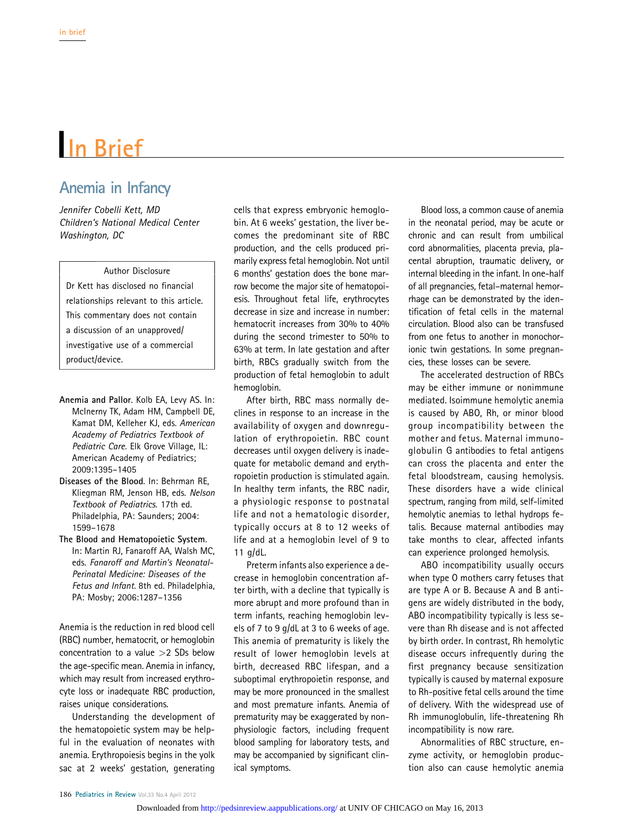# In Brief

## Anemia in Infancy

Jennifer Cobelli Kett, MD Children's National Medical Center Washington, DC

#### Author Disclosure

Dr Kett has disclosed no financial relationships relevant to this article. This commentary does not contain a discussion of an unapproved/ investigative use of a commercial product/device.

- Anemia and Pallor. Kolb EA, Levy AS. In: McInerny TK, Adam HM, Campbell DE, Kamat DM, Kelleher KJ, eds. American Academy of Pediatrics Textbook of Pediatric Care. Elk Grove Village, IL: American Academy of Pediatrics; 2009:1395–1405
- Diseases of the Blood. In: Behrman RE, Kliegman RM, Jenson HB, eds. Nelson Textbook of Pediatrics. 17th ed. Philadelphia, PA: Saunders; 2004: 1599–1678
- The Blood and Hematopoietic System. In: Martin RJ, Fanaroff AA, Walsh MC, eds. Fanaroff and Martin's Neonatal-Perinatal Medicine: Diseases of the Fetus and Infant. 8th ed. Philadelphia, PA: Mosby; 2006:1287–1356

Anemia is the reduction in red blood cell (RBC) number, hematocrit, or hemoglobin concentration to a value >2 SDs below the age-specific mean. Anemia in infancy, which may result from increased erythrocyte loss or inadequate RBC production, raises unique considerations.

Understanding the development of the hematopoietic system may be helpful in the evaluation of neonates with anemia. Erythropoiesis begins in the yolk sac at 2 weeks' gestation, generating

cells that express embryonic hemoglobin. At 6 weeks' gestation, the liver becomes the predominant site of RBC production, and the cells produced primarily express fetal hemoglobin. Not until 6 months' gestation does the bone marrow become the major site of hematopoiesis. Throughout fetal life, erythrocytes decrease in size and increase in number: hematocrit increases from 30% to 40% during the second trimester to 50% to 63% at term. In late gestation and after birth, RBCs gradually switch from the production of fetal hemoglobin to adult hemoglobin.

After birth, RBC mass normally declines in response to an increase in the availability of oxygen and downregulation of erythropoietin. RBC count decreases until oxygen delivery is inadequate for metabolic demand and erythropoietin production is stimulated again. In healthy term infants, the RBC nadir, a physiologic response to postnatal life and not a hematologic disorder, typically occurs at 8 to 12 weeks of life and at a hemoglobin level of 9 to 11 g/dL.

Preterm infants also experience a decrease in hemoglobin concentration after birth, with a decline that typically is more abrupt and more profound than in term infants, reaching hemoglobin levels of 7 to 9 g/dL at 3 to 6 weeks of age. This anemia of prematurity is likely the result of lower hemoglobin levels at birth, decreased RBC lifespan, and a suboptimal erythropoietin response, and may be more pronounced in the smallest and most premature infants. Anemia of prematurity may be exaggerated by nonphysiologic factors, including frequent blood sampling for laboratory tests, and may be accompanied by significant clinical symptoms.

Blood loss, a common cause of anemia in the neonatal period, may be acute or chronic and can result from umbilical cord abnormalities, placenta previa, placental abruption, traumatic delivery, or internal bleeding in the infant. In one-half of all pregnancies, fetal–maternal hemorrhage can be demonstrated by the identification of fetal cells in the maternal circulation. Blood also can be transfused from one fetus to another in monochorionic twin gestations. In some pregnancies, these losses can be severe.

The accelerated destruction of RBCs may be either immune or nonimmune mediated. Isoimmune hemolytic anemia is caused by ABO, Rh, or minor blood group incompatibility between the mother and fetus. Maternal immunoglobulin G antibodies to fetal antigens can cross the placenta and enter the fetal bloodstream, causing hemolysis. These disorders have a wide clinical spectrum, ranging from mild, self-limited hemolytic anemias to lethal hydrops fetalis. Because maternal antibodies may take months to clear, affected infants can experience prolonged hemolysis.

ABO incompatibility usually occurs when type O mothers carry fetuses that are type A or B. Because A and B antigens are widely distributed in the body, ABO incompatibility typically is less severe than Rh disease and is not affected by birth order. In contrast, Rh hemolytic disease occurs infrequently during the first pregnancy because sensitization typically is caused by maternal exposure to Rh-positive fetal cells around the time of delivery. With the widespread use of Rh immunoglobulin, life-threatening Rh incompatibility is now rare.

Abnormalities of RBC structure, enzyme activity, or hemoglobin production also can cause hemolytic anemia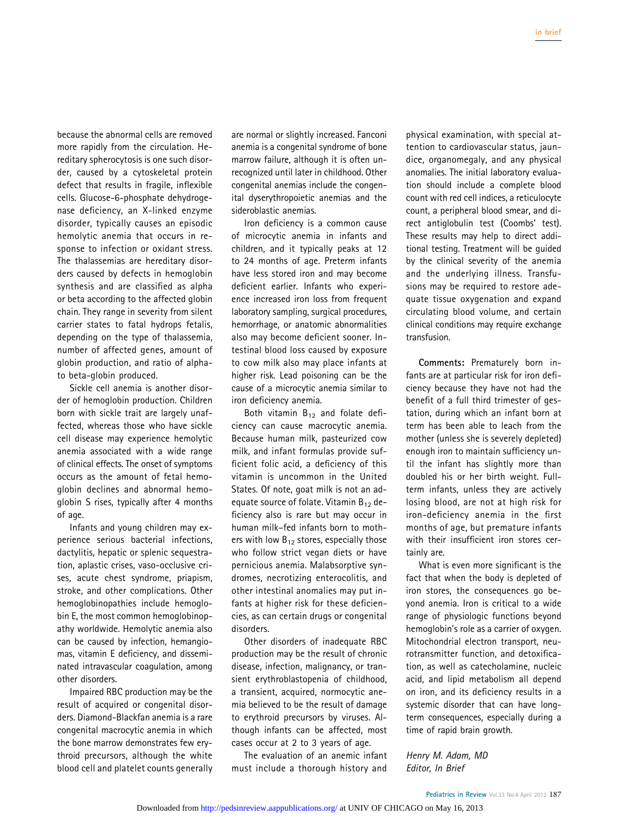because the abnormal cells are removed more rapidly from the circulation. Hereditary spherocytosis is one such disorder, caused by a cytoskeletal protein defect that results in fragile, inflexible cells. Glucose-6-phosphate dehydrogenase deficiency, an X-linked enzyme disorder, typically causes an episodic hemolytic anemia that occurs in response to infection or oxidant stress. The thalassemias are hereditary disorders caused by defects in hemoglobin synthesis and are classified as alpha or beta according to the affected globin chain. They range in severity from silent carrier states to fatal hydrops fetalis, depending on the type of thalassemia, number of affected genes, amount of globin production, and ratio of alphato beta-globin produced.

Sickle cell anemia is another disorder of hemoglobin production. Children born with sickle trait are largely unaffected, whereas those who have sickle cell disease may experience hemolytic anemia associated with a wide range of clinical effects. The onset of symptoms occurs as the amount of fetal hemoglobin declines and abnormal hemoglobin S rises, typically after 4 months of age.

Infants and young children may experience serious bacterial infections, dactylitis, hepatic or splenic sequestration, aplastic crises, vaso-occlusive crises, acute chest syndrome, priapism, stroke, and other complications. Other hemoglobinopathies include hemoglobin E, the most common hemoglobinopathy worldwide. Hemolytic anemia also can be caused by infection, hemangiomas, vitamin E deficiency, and disseminated intravascular coagulation, among other disorders.

Impaired RBC production may be the result of acquired or congenital disorders. Diamond-Blackfan anemia is a rare congenital macrocytic anemia in which the bone marrow demonstrates few erythroid precursors, although the white blood cell and platelet counts generally are normal or slightly increased. Fanconi anemia is a congenital syndrome of bone marrow failure, although it is often unrecognized until later in childhood. Other congenital anemias include the congenital dyserythropoietic anemias and the sideroblastic anemias.

Iron deficiency is a common cause of microcytic anemia in infants and children, and it typically peaks at 12 to 24 months of age. Preterm infants have less stored iron and may become deficient earlier. Infants who experience increased iron loss from frequent laboratory sampling, surgical procedures, hemorrhage, or anatomic abnormalities also may become deficient sooner. Intestinal blood loss caused by exposure to cow milk also may place infants at higher risk. Lead poisoning can be the cause of a microcytic anemia similar to iron deficiency anemia.

Both vitamin  $B_{12}$  and folate deficiency can cause macrocytic anemia. Because human milk, pasteurized cow milk, and infant formulas provide sufficient folic acid, a deficiency of this vitamin is uncommon in the United States. Of note, goat milk is not an adequate source of folate. Vitamin  $B_{12}$  deficiency also is rare but may occur in human milk–fed infants born to mothers with low  $B_{12}$  stores, especially those who follow strict vegan diets or have pernicious anemia. Malabsorptive syndromes, necrotizing enterocolitis, and other intestinal anomalies may put infants at higher risk for these deficiencies, as can certain drugs or congenital disorders.

Other disorders of inadequate RBC production may be the result of chronic disease, infection, malignancy, or transient erythroblastopenia of childhood, a transient, acquired, normocytic anemia believed to be the result of damage to erythroid precursors by viruses. Although infants can be affected, most cases occur at 2 to 3 years of age.

The evaluation of an anemic infant must include a thorough history and

physical examination, with special attention to cardiovascular status, jaundice, organomegaly, and any physical anomalies. The initial laboratory evaluation should include a complete blood count with red cell indices, a reticulocyte count, a peripheral blood smear, and direct antiglobulin test (Coombs' test). These results may help to direct additional testing. Treatment will be guided by the clinical severity of the anemia and the underlying illness. Transfusions may be required to restore adequate tissue oxygenation and expand circulating blood volume, and certain clinical conditions may require exchange transfusion.

Comments: Prematurely born infants are at particular risk for iron deficiency because they have not had the benefit of a full third trimester of gestation, during which an infant born at term has been able to leach from the mother (unless she is severely depleted) enough iron to maintain sufficiency until the infant has slightly more than doubled his or her birth weight. Fullterm infants, unless they are actively losing blood, are not at high risk for iron-deficiency anemia in the first months of age, but premature infants with their insufficient iron stores certainly are.

What is even more significant is the fact that when the body is depleted of iron stores, the consequences go beyond anemia. Iron is critical to a wide range of physiologic functions beyond hemoglobin's role as a carrier of oxygen. Mitochondrial electron transport, neurotransmitter function, and detoxification, as well as catecholamine, nucleic acid, and lipid metabolism all depend on iron, and its deficiency results in a systemic disorder that can have longterm consequences, especially during a time of rapid brain growth.

#### Henry M. Adam, MD Editor, In Brief